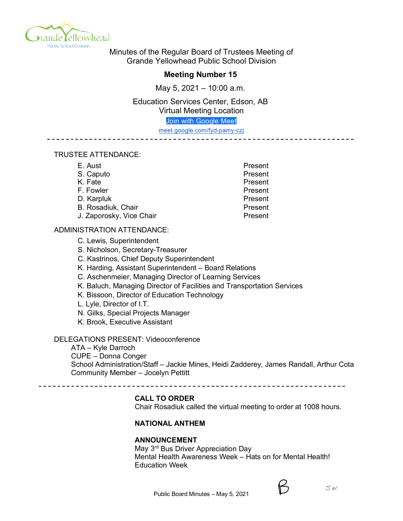

Minutes of the Regular Board of Trustees Meeting of Grande Yellowhead Public School Division

# **Meeting Number 15**

May 5, 2021 – 10:00 a.m.

Education Services Center, Edson, AB Virtual Meeting Location

Join with Google Meet

meet.google.com/fyd-pamy-czj \_\_\_\_\_\_\_\_\_\_\_\_\_\_\_\_\_\_\_\_\_\_\_\_\_\_\_\_\_\_\_\_\_\_\_\_\_\_

# TRUSTEE ATTENDANCE:

| E. Aust                  | Present |
|--------------------------|---------|
| S. Caputo                | Present |
| K. Fate                  | Present |
| F. Fowler                | Present |
| D. Karpluk               | Present |
| B. Rosadiuk, Chair       | Present |
| J. Zaporosky, Vice Chair | Present |

## ADMINISTRATION ATTENDANCE:

- C. Lewis, Superintendent
- S. Nicholson, Secretary-Treasurer
- C. Kastrinos, Chief Deputy Superintendent
- K. Harding, Assistant Superintendent Board Relations
- C. Aschenmeier, Managing Director of Learning Services
- K. Baluch, Managing Director of Facilities and Transportation Services
- K. Bissoon, Director of Education Technology
- L. Lyle, Director of I.T.
- N. Gilks, Special Projects Manager
- K. Brook, Executive Assistant

# DELEGATIONS PRESENT: Videoconference

ATA – Kyle Darroch CUPE – Donna Conger School Administration/Staff – Jackie Mines, Heidi Zadderey, James Randall, Arthur Cota Community Member – Jocelyn Pettitt

# **CALL TO ORDER**

Chair Rosadiuk called the virtual meeting to order at 1008 hours.

# **NATIONAL ANTHEM**

## **ANNOUNCEMENT**

May 3<sup>rd</sup> Bus Driver Appreciation Day Mental Health Awareness Week – Hats on for Mental Health! Education Week

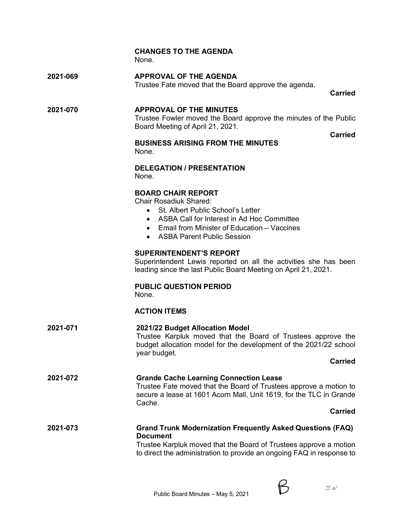|          | <b>CHANGES TO THE AGENDA</b><br>None.                                                                                                                                                                                                         |
|----------|-----------------------------------------------------------------------------------------------------------------------------------------------------------------------------------------------------------------------------------------------|
| 2021-069 | <b>APPROVAL OF THE AGENDA</b><br>Trustee Fate moved that the Board approve the agenda.<br><b>Carried</b>                                                                                                                                      |
| 2021-070 | <b>APPROVAL OF THE MINUTES</b><br>Trustee Fowler moved the Board approve the minutes of the Public<br>Board Meeting of April 21, 2021.<br>Carried                                                                                             |
|          | <b>BUSINESS ARISING FROM THE MINUTES</b><br>None.                                                                                                                                                                                             |
|          | <b>DELEGATION / PRESENTATION</b><br>None.                                                                                                                                                                                                     |
|          | <b>BOARD CHAIR REPORT</b><br><b>Chair Rosadiuk Shared:</b><br>St. Albert Public School's Letter<br>$\bullet$<br>• ASBA Call for Interest in Ad Hoc Committee<br>• Email from Minister of Education – Vaccines<br>• ASBA Parent Public Session |
|          | <b>SUPERINTENDENT'S REPORT</b><br>Superintendent Lewis reported on all the activities she has been<br>leading since the last Public Board Meeting on April 21, 2021.                                                                          |
|          | <b>PUBLIC QUESTION PERIOD</b><br>None.                                                                                                                                                                                                        |
|          | <b>ACTION ITEMS</b>                                                                                                                                                                                                                           |
| 2021-071 | 2021/22 Budget Allocation Model<br>Trustee Karpluk moved that the Board of Trustees approve the<br>budget allocation model for the development of the 2021/22 school<br>year budget.                                                          |
|          | <b>Carried</b>                                                                                                                                                                                                                                |
| 2021-072 | <b>Grande Cache Learning Connection Lease</b><br>Trustee Fate moved that the Board of Trustees approve a motion to<br>secure a lease at 1601 Acorn Mall, Unit 1619, for the TLC in Grande<br>Cache.                                           |
|          | <b>Carried</b>                                                                                                                                                                                                                                |
| 2021-073 | <b>Grand Trunk Modernization Frequently Asked Questions (FAQ)</b><br><b>Document</b><br>Trustee Karpluk moved that the Board of Trustees approve a motion<br>to direct the administration to provide an ongoing FAQ in response to            |

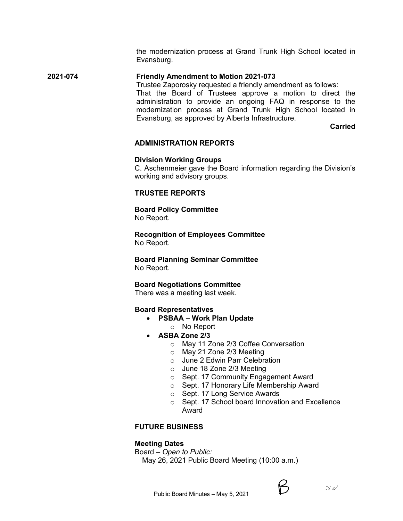the modernization process at Grand Trunk High School located in Evansburg.

# **2021-074 Friendly Amendment to Motion 2021-073**

Trustee Zaporosky requested a friendly amendment as follows:

That the Board of Trustees approve a motion to direct the administration to provide an ongoing FAQ in response to the modernization process at Grand Trunk High School located in Evansburg, as approved by Alberta Infrastructure.

**Carried**

#### **ADMINISTRATION REPORTS**

#### **Division Working Groups**

C. Aschenmeier gave the Board information regarding the Division's working and advisory groups.

## **TRUSTEE REPORTS**

**Board Policy Committee** No Report.

**Recognition of Employees Committee** No Report.

**Board Planning Seminar Committee** No Report.

**Board Negotiations Committee**

There was a meeting last week.

#### **Board Representatives**

- **PSBAA – Work Plan Update**
	- o No Report
- **ASBA Zone 2/3**
	- o May 11 Zone 2/3 Coffee Conversation
	- o May 21 Zone 2/3 Meeting
	- o June 2 Edwin Parr Celebration
	- o June 18 Zone 2/3 Meeting
	- o Sept. 17 Community Engagement Award
	- o Sept. 17 Honorary Life Membership Award
	- o Sept. 17 Long Service Awards
	- o Sept. 17 School board Innovation and Excellence Award

# **FUTURE BUSINESS**

## **Meeting Dates**

Board – *Open to Public:*

May 26, 2021 Public Board Meeting (10:00 a.m.)